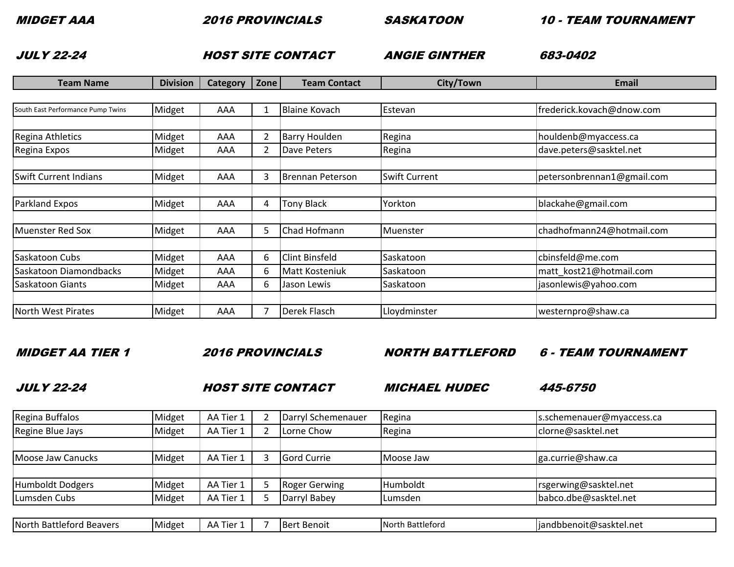2016 PROVINCIALS SASKATOON

10 - TEAM TOURNAMENT

JULY 22-24

ANGIE GINTHERHOST SITE CONTACT ANGIE GINTHER

ANGIE GINTHER 683-0402

| <b>Team Name</b>                  | <b>Division</b> | Category   Zone |    | <b>Team Contact</b>   | City/Town            | Email                      |
|-----------------------------------|-----------------|-----------------|----|-----------------------|----------------------|----------------------------|
|                                   |                 |                 |    |                       |                      |                            |
| South East Performance Pump Twins | Midget          | AAA             |    | <b>Blaine Kovach</b>  | Estevan              | frederick.kovach@dnow.com  |
|                                   |                 |                 |    |                       |                      |                            |
| Regina Athletics                  | Midget          | AAA             | 2  | <b>Barry Houlden</b>  | Regina               | houldenb@myaccess.ca       |
| Regina Expos                      | Midget          | AAA             | 2  | Dave Peters           | Regina               | dave.peters@sasktel.net    |
|                                   |                 |                 |    |                       |                      |                            |
| <b>Swift Current Indians</b>      | Midget          | AAA             | 3  | Brennan Peterson      | <b>Swift Current</b> | petersonbrennan1@gmail.com |
|                                   |                 |                 |    |                       |                      |                            |
| Parkland Expos                    | Midget          | AAA             | 4  | <b>Tony Black</b>     | Yorkton              | blackahe@gmail.com         |
|                                   |                 |                 |    |                       |                      |                            |
| Muenster Red Sox                  | Midget          | AAA             | 5. | Chad Hofmann          | Muenster             | chadhofmann24@hotmail.com  |
|                                   |                 |                 |    |                       |                      |                            |
| Saskatoon Cubs                    | Midget          | AAA             | 6  | Clint Binsfeld        | Saskatoon            | cbinsfeld@me.com           |
| Saskatoon Diamondbacks            | Midget          | AAA             | 6  | <b>Matt Kosteniuk</b> | Saskatoon            | matt_kost21@hotmail.com    |
| Saskatoon Giants                  | Midget          | AAA             | 6. | Jason Lewis           | Saskatoon            | jasonlewis@yahoo.com       |
|                                   |                 |                 |    |                       |                      |                            |
| North West Pirates                | Midget          | AAA             |    | <b>Derek Flasch</b>   | Lloydminster         | westernpro@shaw.ca         |

MIDGET AA TIER 1

2016 PROVINCIALS

NORTH BATTLEFORD

6 - TEAM TOURNAMENT

JULY 22-24

A FIDET SITE CONTACT MICHAEL HUDEC

MICHAEL HUDEC 445-6750

| Regina Buffalos          | Midget | AA Tier 1 | Darryl Schemenauer   | Regina           | s.schemenauer@myaccess.ca |
|--------------------------|--------|-----------|----------------------|------------------|---------------------------|
| Regine Blue Jays         | Midget | AA Tier 1 | Lorne Chow           | Regina           | clorne@sasktel.net        |
|                          |        |           |                      |                  |                           |
| <b>Moose Jaw Canucks</b> | Midget | AA Tier 1 | <b>Gord Currie</b>   | Moose Jaw        | ga.currie@shaw.ca         |
|                          |        |           |                      |                  |                           |
| Humboldt Dodgers         | Midget | AA Tier 1 | <b>Roger Gerwing</b> | Humboldt         | rsgerwing@sasktel.net     |
| Lumsden Cubs             | Midget | AA Tier 1 | Darryl Babey         | Lumsden          | babco.dbe@sasktel.net     |
|                          |        |           |                      |                  |                           |
| North Battleford Beavers | Midget | AA Tier 1 | <b>Bert Benoit</b>   | North Battleford | jandbbenoit@sasktel.net   |